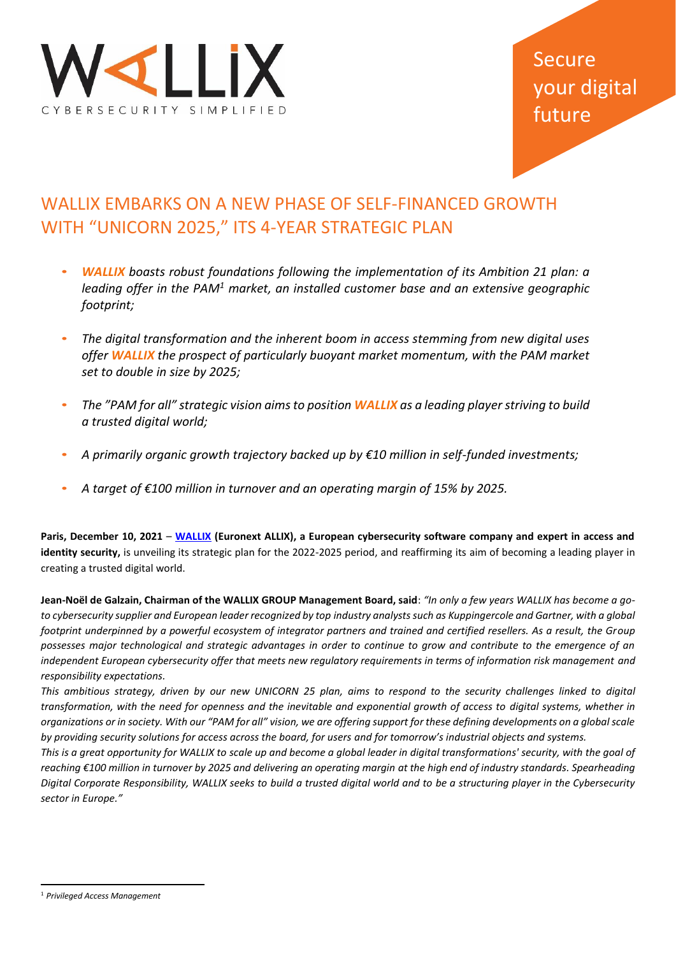

# Secure your digital future

# WALLIX EMBARKS ON A NEW PHASE OF SELF-FINANCED GROWTH WITH "UNICORN 2025," ITS 4-YEAR STRATEGIC PLAN

- *WALLIX boasts robust foundations following the implementation of its Ambition 21 plan: a leading offer in the PAM<sup>1</sup> market, an installed customer base and an extensive geographic footprint;*
- *The digital transformation and the inherent boom in access stemming from new digital uses offer WALLIX the prospect of particularly buoyant market momentum, with the PAM market set to double in size by 2025;*
- *The "PAM for all" strategic vision aims to position WALLIX as a leading player striving to build a trusted digital world;*
- *A primarily organic growth trajectory backed up by €10 million in self-funded investments;*
- *A target of €100 million in turnover and an operating margin of 15% by 2025.*

**Paris, December 10, 2021** – **[WALLIX](https://www.wallix.com/) (Euronext ALLIX), a European cybersecurity software company and expert in access and identity security,** is unveiling its strategic plan for the 2022-2025 period, and reaffirming its aim of becoming a leading player in creating a trusted digital world.

**Jean-Noël de Galzain, Chairman of the WALLIX GROUP Management Board, said**: *"In only a few years WALLIX has become a goto cybersecurity supplier and European leader recognized by top industry analysts such as Kuppingercole and Gartner, with a global footprint underpinned by a powerful ecosystem of integrator partners and trained and certified resellers. As a result, the Group possesses major technological and strategic advantages in order to continue to grow and contribute to the emergence of an independent European cybersecurity offer that meets new regulatory requirements in terms of information risk management and responsibility expectations.*

*This ambitious strategy, driven by our new UNICORN 25 plan, aims to respond to the security challenges linked to digital transformation, with the need for openness and the inevitable and exponential growth of access to digital systems, whether in organizations or in society. With our "PAM for all" vision, we are offering support for these defining developments on a global scale by providing security solutions for access across the board, for users and for tomorrow's industrial objects and systems.* 

*This is a great opportunity for WALLIX to scale up and become a global leader in digital transformations' security, with the goal of*  reaching €100 million in turnover by 2025 and delivering an operating margin at the high end of industry standards. Spearheading *Digital Corporate Responsibility, WALLIX seeks to build a trusted digital world and to be a structuring player in the Cybersecurity sector in Europe."* 

<sup>1</sup> *Privileged Access Management*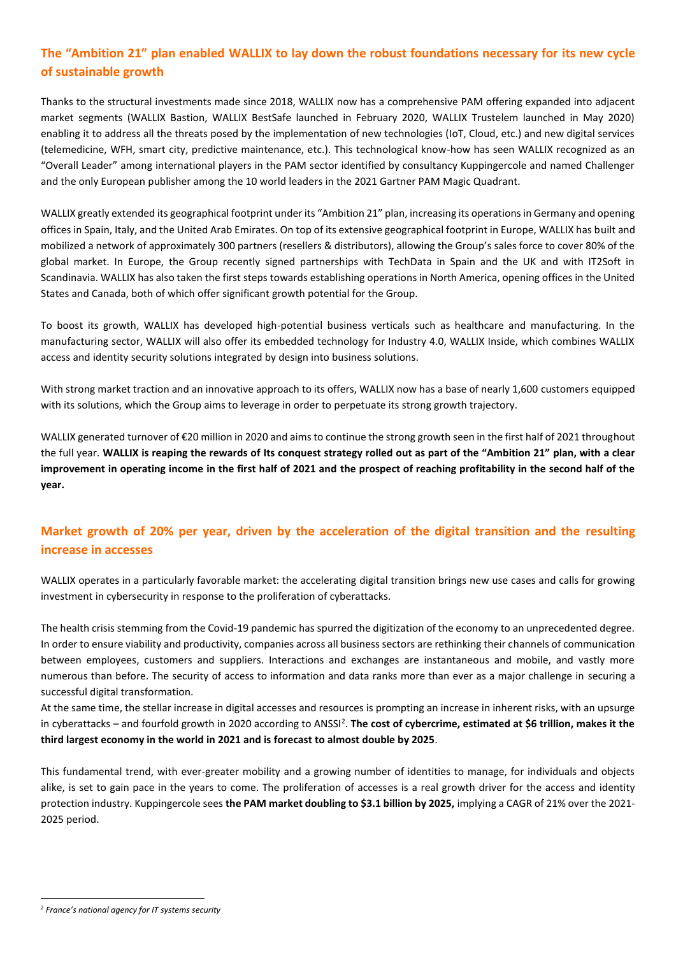## **The "Ambition 21" plan enabled WALLIX to lay down the robust foundations necessary for its new cycle of sustainable growth**

Thanks to the structural investments made since 2018, WALLIX now has a comprehensive PAM offering expanded into adjacent market segments (WALLIX Bastion, WALLIX BestSafe launched in February 2020, WALLIX Trustelem launched in May 2020) enabling it to address all the threats posed by the implementation of new technologies (IoT, Cloud, etc.) and new digital services (telemedicine, WFH, smart city, predictive maintenance, etc.). This technological know-how has seen WALLIX recognized as an "Overall Leader" among international players in the PAM sector identified by consultancy Kuppingercole and named Challenger and the only European publisher among the 10 world leaders in the 2021 Gartner PAM Magic Quadrant.

WALLIX greatly extended its geographical footprint under its "Ambition 21" plan, increasing its operations in Germany and opening offices in Spain, Italy, and the United Arab Emirates. On top of its extensive geographical footprint in Europe, WALLIX has built and mobilized a network of approximately 300 partners (resellers & distributors), allowing the Group's sales force to cover 80% of the global market. In Europe, the Group recently signed partnerships with TechData in Spain and the UK and with IT2Soft in Scandinavia. WALLIX has also taken the first steps towards establishing operations in North America, opening offices in the United States and Canada, both of which offer significant growth potential for the Group.

To boost its growth, WALLIX has developed high-potential business verticals such as healthcare and manufacturing. In the manufacturing sector, WALLIX will also offer its embedded technology for Industry 4.0, WALLIX Inside, which combines WALLIX access and identity security solutions integrated by design into business solutions.

With strong market traction and an innovative approach to its offers, WALLIX now has a base of nearly 1,600 customers equipped with its solutions, which the Group aims to leverage in order to perpetuate its strong growth trajectory.

WALLIX generated turnover of €20 million in 2020 and aims to continue the strong growth seen in the first half of 2021 throughout the full year. **WALLIX is reaping the rewards of Its conquest strategy rolled out as part of the "Ambition 21" plan, with a clear improvement in operating income in the first half of 2021 and the prospect of reaching profitability in the second half of the year.**

## **Market growth of 20% per year, driven by the acceleration of the digital transition and the resulting increase in accesses**

WALLIX operates in a particularly favorable market: the accelerating digital transition brings new use cases and calls for growing investment in cybersecurity in response to the proliferation of cyberattacks.

The health crisis stemming from the Covid-19 pandemic has spurred the digitization of the economy to an unprecedented degree. In order to ensure viability and productivity, companies across all business sectors are rethinking their channels of communication between employees, customers and suppliers. Interactions and exchanges are instantaneous and mobile, and vastly more numerous than before. The security of access to information and data ranks more than ever as a major challenge in securing a successful digital transformation.

At the same time, the stellar increase in digital accesses and resources is prompting an increase in inherent risks, with an upsurge in cyberattacks – and fourfold growth in 2020 according to ANSSI<sup>2</sup>. The cost of cybercrime, estimated at \$6 trillion, makes it the **third largest economy in the world in 2021 and is forecast to almost double by 2025**.

This fundamental trend, with ever-greater mobility and a growing number of identities to manage, for individuals and objects alike, is set to gain pace in the years to come. The proliferation of accesses is a real growth driver for the access and identity protection industry. Kuppingercole sees **the PAM market doubling to \$3.1 billion by 2025,** implying a CAGR of 21% over the 2021- 2025 period.

<sup>2</sup> *France's national agency for IT systems security*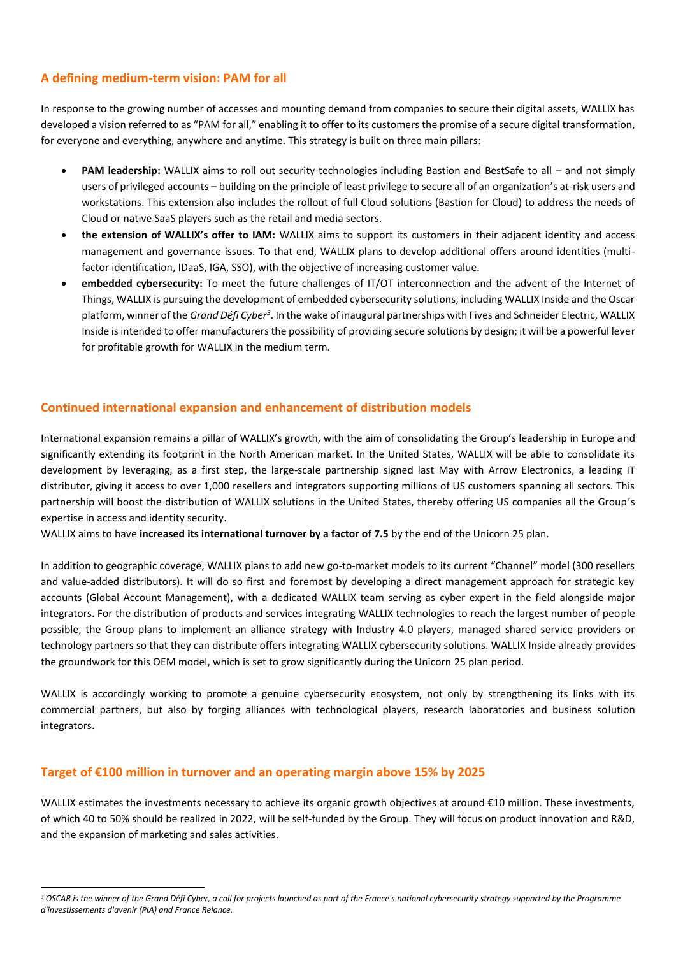#### **A defining medium-term vision: PAM for all**

In response to the growing number of accesses and mounting demand from companies to secure their digital assets, WALLIX has developed a vision referred to as "PAM for all," enabling it to offer to its customers the promise of a secure digital transformation, for everyone and everything, anywhere and anytime. This strategy is built on three main pillars:

- **PAM leadership:** WALLIX aims to roll out security technologies including Bastion and BestSafe to all and not simply users of privileged accounts – building on the principle of least privilege to secure all of an organization's at-risk users and workstations. This extension also includes the rollout of full Cloud solutions (Bastion for Cloud) to address the needs of Cloud or native SaaS players such as the retail and media sectors.
- **the extension of WALLIX's offer to IAM:** WALLIX aims to support its customers in their adjacent identity and access management and governance issues. To that end, WALLIX plans to develop additional offers around identities (multifactor identification, IDaaS, IGA, SSO), with the objective of increasing customer value.
- **embedded cybersecurity:** To meet the future challenges of IT/OT interconnection and the advent of the Internet of Things, WALLIX is pursuing the development of embedded cybersecurity solutions, including WALLIX Inside and the Oscar platform, winner of the *Grand Défi Cyber<sup>3</sup>.* In the wake of inaugural partnerships with Fives and Schneider Electric, WALLIX Inside is intended to offer manufacturers the possibility of providing secure solutions by design; it will be a powerful lever for profitable growth for WALLIX in the medium term.

#### **Continued international expansion and enhancement of distribution models**

International expansion remains a pillar of WALLIX's growth, with the aim of consolidating the Group's leadership in Europe and significantly extending its footprint in the North American market. In the United States, WALLIX will be able to consolidate its development by leveraging, as a first step, the large-scale partnership signed last May with Arrow Electronics, a leading IT distributor, giving it access to over 1,000 resellers and integrators supporting millions of US customers spanning all sectors. This partnership will boost the distribution of WALLIX solutions in the United States, thereby offering US companies all the Group's expertise in access and identity security.

WALLIX aims to have **increased its international turnover by a factor of 7.5** by the end of the Unicorn 25 plan.

In addition to geographic coverage, WALLIX plans to add new go-to-market models to its current "Channel" model (300 resellers and value-added distributors). It will do so first and foremost by developing a direct management approach for strategic key accounts (Global Account Management), with a dedicated WALLIX team serving as cyber expert in the field alongside major integrators. For the distribution of products and services integrating WALLIX technologies to reach the largest number of people possible, the Group plans to implement an alliance strategy with Industry 4.0 players, managed shared service providers or technology partners so that they can distribute offers integrating WALLIX cybersecurity solutions. WALLIX Inside already provides the groundwork for this OEM model, which is set to grow significantly during the Unicorn 25 plan period.

WALLIX is accordingly working to promote a genuine cybersecurity ecosystem, not only by strengthening its links with its commercial partners, but also by forging alliances with technological players, research laboratories and business solution integrators.

#### **Target of €100 million in turnover and an operating margin above 15% by 2025**

WALLIX estimates the investments necessary to achieve its organic growth objectives at around €10 million. These investments, of which 40 to 50% should be realized in 2022, will be self-funded by the Group. They will focus on product innovation and R&D, and the expansion of marketing and sales activities.

*<sup>3</sup> OSCAR is the winner of the Grand Défi Cyber, a call for projects launched as part of the France's national cybersecurity strategy supported by the Programme d'investissements d'avenir (PIA) and France Relance.*